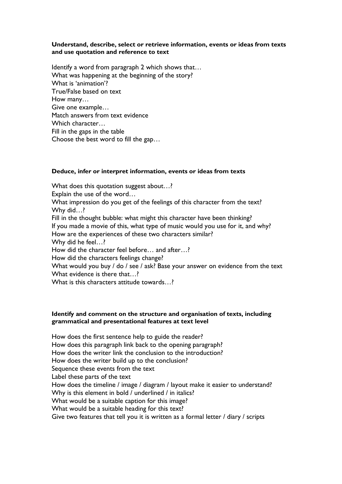### **Understand, describe, select or retrieve information, events or ideas from texts and use quotation and reference to text**

Identify a word from paragraph 2 which shows that… What was happening at the beginning of the story? What is 'animation'? True/False based on text How many… Give one example… Match answers from text evidence Which character... Fill in the gaps in the table Choose the best word to fill the gap…

# **Deduce, infer or interpret information, events or ideas from texts**

What does this quotation suggest about…?

Explain the use of the word…

What impression do you get of the feelings of this character from the text? Why did…?

Fill in the thought bubble: what might this character have been thinking? If you made a movie of this, what type of music would you use for it, and why? How are the experiences of these two characters similar? Why did he feel…? How did the character feel before… and after…? How did the characters feelings change?

What would you buy / do / see / ask? Base your answer on evidence from the text What evidence is there that...?

What is this characters attitude towards...?

# **Identify and comment on the structure and organisation of texts, including grammatical and presentational features at text level**

How does the first sentence help to guide the reader? How does this paragraph link back to the opening paragraph? How does the writer link the conclusion to the introduction? How does the writer build up to the conclusion? Sequence these events from the text Label these parts of the text How does the timeline / image / diagram / layout make it easier to understand? Why is this element in bold / underlined / in italics? What would be a suitable caption for this image? What would be a suitable heading for this text? Give two features that tell you it is written as a formal letter / diary / scripts